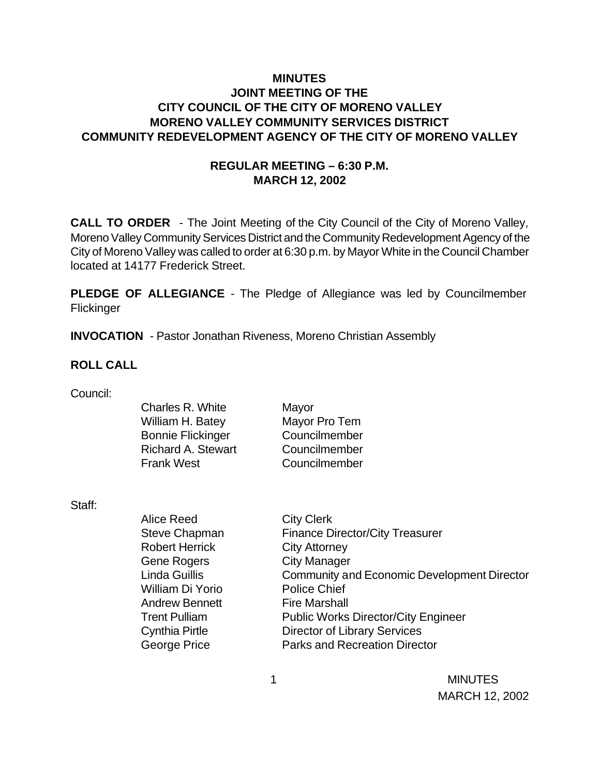## **MINUTES JOINT MEETING OF THE CITY COUNCIL OF THE CITY OF MORENO VALLEY MORENO VALLEY COMMUNITY SERVICES DISTRICT COMMUNITY REDEVELOPMENT AGENCY OF THE CITY OF MORENO VALLEY**

## **REGULAR MEETING – 6:30 P.M. MARCH 12, 2002**

**CALL TO ORDER** - The Joint Meeting of the City Council of the City of Moreno Valley, Moreno Valley Community Services District and the Community Redevelopment Agency of the City of Moreno Valley was called to order at 6:30 p.m. by Mayor White in the Council Chamber located at 14177 Frederick Street.

**PLEDGE OF ALLEGIANCE** - The Pledge of Allegiance was led by Councilmember Flickinger

**INVOCATION** - Pastor Jonathan Riveness, Moreno Christian Assembly

#### **ROLL CALL**

| Council: |  |
|----------|--|

| Charles R. White          | Mayor         |
|---------------------------|---------------|
| William H. Batey          | Mayor Pro Tem |
| <b>Bonnie Flickinger</b>  | Councilmember |
| <b>Richard A. Stewart</b> | Councilmember |
| <b>Frank West</b>         | Councilmember |
|                           |               |

Mayor Councilmember Councilmember

Staff:

| <b>Alice Reed</b>     | <b>City Clerk</b>                                  |
|-----------------------|----------------------------------------------------|
| Steve Chapman         | <b>Finance Director/City Treasurer</b>             |
| <b>Robert Herrick</b> | <b>City Attorney</b>                               |
| <b>Gene Rogers</b>    | <b>City Manager</b>                                |
| <b>Linda Guillis</b>  | <b>Community and Economic Development Director</b> |
| William Di Yorio      | <b>Police Chief</b>                                |
| <b>Andrew Bennett</b> | <b>Fire Marshall</b>                               |
| <b>Trent Pulliam</b>  | <b>Public Works Director/City Engineer</b>         |
| <b>Cynthia Pirtle</b> | <b>Director of Library Services</b>                |
| <b>George Price</b>   | <b>Parks and Recreation Director</b>               |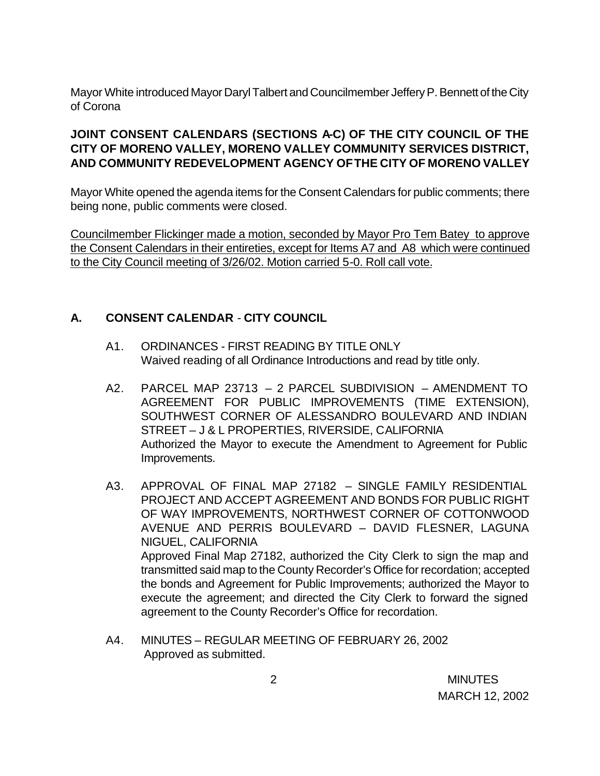Mayor White introduced Mayor Daryl Talbert and Councilmember Jeffery P. Bennett of the City of Corona

## **JOINT CONSENT CALENDARS (SECTIONS A-C) OF THE CITY COUNCIL OF THE CITY OF MORENO VALLEY, MORENO VALLEY COMMUNITY SERVICES DISTRICT, AND COMMUNITY REDEVELOPMENT AGENCY OF THE CITY OF MORENO VALLEY**

Mayor White opened the agenda items for the Consent Calendars for public comments; there being none, public comments were closed.

Councilmember Flickinger made a motion, seconded by Mayor Pro Tem Batey to approve the Consent Calendars in their entireties, except for Items A7 and A8 which were continued to the City Council meeting of 3/26/02. Motion carried 5-0. Roll call vote.

## **A. CONSENT CALENDAR** - **CITY COUNCIL**

- A1. ORDINANCES FIRST READING BY TITLE ONLY Waived reading of all Ordinance Introductions and read by title only.
- A2. PARCEL MAP 23713 2 PARCEL SUBDIVISION AMENDMENT TO AGREEMENT FOR PUBLIC IMPROVEMENTS (TIME EXTENSION), SOUTHWEST CORNER OF ALESSANDRO BOULEVARD AND INDIAN STREET – J & L PROPERTIES, RIVERSIDE, CALIFORNIA Authorized the Mayor to execute the Amendment to Agreement for Public Improvements.
- A3. APPROVAL OF FINAL MAP 27182 SINGLE FAMILY RESIDENTIAL PROJECT AND ACCEPT AGREEMENT AND BONDS FOR PUBLIC RIGHT OF WAY IMPROVEMENTS, NORTHWEST CORNER OF COTTONWOOD AVENUE AND PERRIS BOULEVARD – DAVID FLESNER, LAGUNA NIGUEL, CALIFORNIA Approved Final Map 27182, authorized the City Clerk to sign the map and transmitted said map to the County Recorder's Office for recordation; accepted the bonds and Agreement for Public Improvements; authorized the Mayor to execute the agreement; and directed the City Clerk to forward the signed agreement to the County Recorder's Office for recordation.
- A4. MINUTES REGULAR MEETING OF FEBRUARY 26, 2002 Approved as submitted.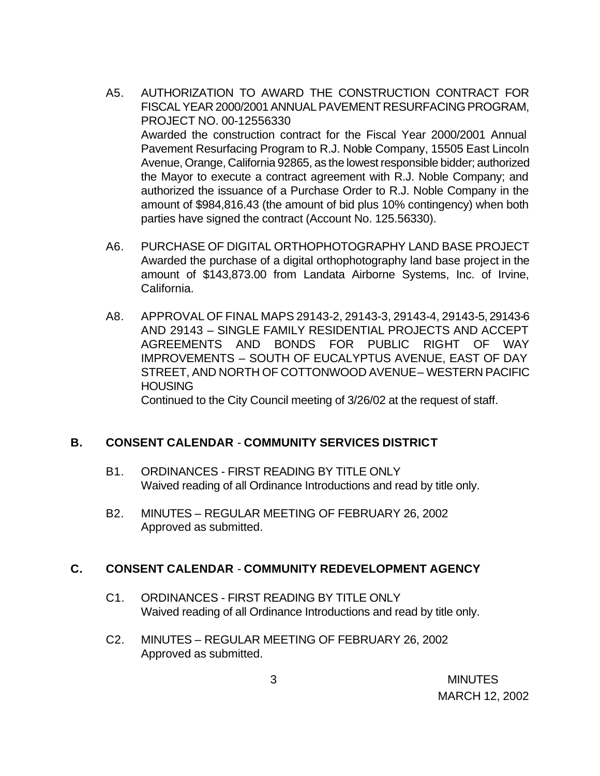- A5. AUTHORIZATION TO AWARD THE CONSTRUCTION CONTRACT FOR FISCAL YEAR 2000/2001 ANNUAL PAVEMENT RESURFACING PROGRAM, PROJECT NO. 00-12556330 Awarded the construction contract for the Fiscal Year 2000/2001 Annual Pavement Resurfacing Program to R.J. Noble Company, 15505 East Lincoln Avenue, Orange, California 92865, as the lowest responsible bidder; authorized the Mayor to execute a contract agreement with R.J. Noble Company; and authorized the issuance of a Purchase Order to R.J. Noble Company in the amount of \$984,816.43 (the amount of bid plus 10% contingency) when both parties have signed the contract (Account No. 125.56330).
- A6. PURCHASE OF DIGITAL ORTHOPHOTOGRAPHY LAND BASE PROJECT Awarded the purchase of a digital orthophotography land base project in the amount of \$143,873.00 from Landata Airborne Systems, Inc. of Irvine, California.
- A8. APPROVAL OF FINAL MAPS 29143-2, 29143-3, 29143-4, 29143-5, 29143-6 AND 29143 – SINGLE FAMILY RESIDENTIAL PROJECTS AND ACCEPT AGREEMENTS AND BONDS FOR PUBLIC RIGHT OF WAY IMPROVEMENTS – SOUTH OF EUCALYPTUS AVENUE, EAST OF DAY STREET, AND NORTH OF COTTONWOOD AVENUE – WESTERN PACIFIC **HOUSING**

Continued to the City Council meeting of 3/26/02 at the request of staff.

## **B. CONSENT CALENDAR** - **COMMUNITY SERVICES DISTRICT**

- B1. ORDINANCES FIRST READING BY TITLE ONLY Waived reading of all Ordinance Introductions and read by title only.
- B2. MINUTES REGULAR MEETING OF FEBRUARY 26, 2002 Approved as submitted.

#### **C. CONSENT CALENDAR** - **COMMUNITY REDEVELOPMENT AGENCY**

- C1. ORDINANCES FIRST READING BY TITLE ONLY Waived reading of all Ordinance Introductions and read by title only.
- C2. MINUTES REGULAR MEETING OF FEBRUARY 26, 2002 Approved as submitted.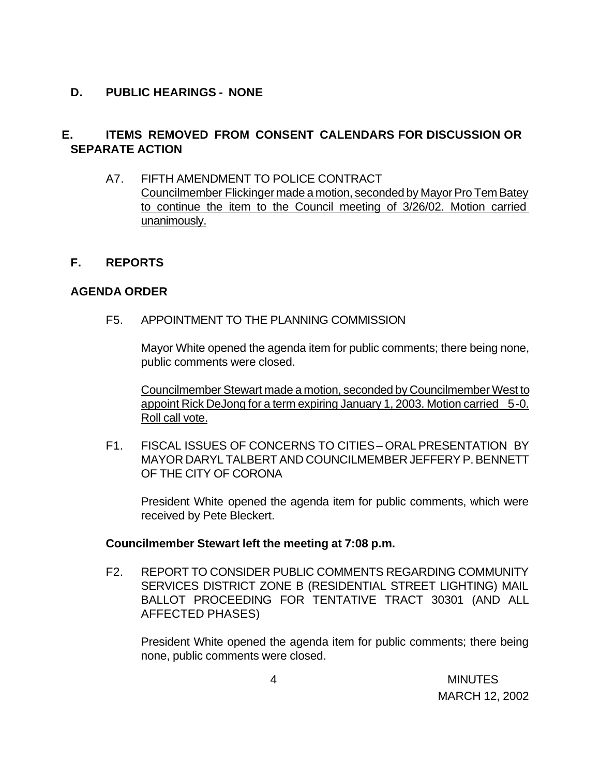### **D. PUBLIC HEARINGS - NONE**

## **E. ITEMS REMOVED FROM CONSENT CALENDARS FOR DISCUSSION OR SEPARATE ACTION**

- A7. FIFTH AMENDMENT TO POLICE CONTRACT Councilmember Flickinger made a motion, seconded by Mayor Pro Tem Batey to continue the item to the Council meeting of 3/26/02. Motion carried unanimously.
- **F. REPORTS**

### **AGENDA ORDER**

F5. APPOINTMENT TO THE PLANNING COMMISSION

Mayor White opened the agenda item for public comments; there being none, public comments were closed.

Councilmember Stewart made a motion, seconded by Councilmember West to appoint Rick DeJong for a term expiring January 1, 2003. Motion carried 5-0. Roll call vote.

F1. FISCAL ISSUES OF CONCERNS TO CITIES – ORAL PRESENTATION BY MAYOR DARYL TALBERT AND COUNCILMEMBER JEFFERY P. BENNETT OF THE CITY OF CORONA

President White opened the agenda item for public comments, which were received by Pete Bleckert.

#### **Councilmember Stewart left the meeting at 7:08 p.m.**

F2. REPORT TO CONSIDER PUBLIC COMMENTS REGARDING COMMUNITY SERVICES DISTRICT ZONE B (RESIDENTIAL STREET LIGHTING) MAIL BALLOT PROCEEDING FOR TENTATIVE TRACT 30301 (AND ALL AFFECTED PHASES)

President White opened the agenda item for public comments; there being none, public comments were closed.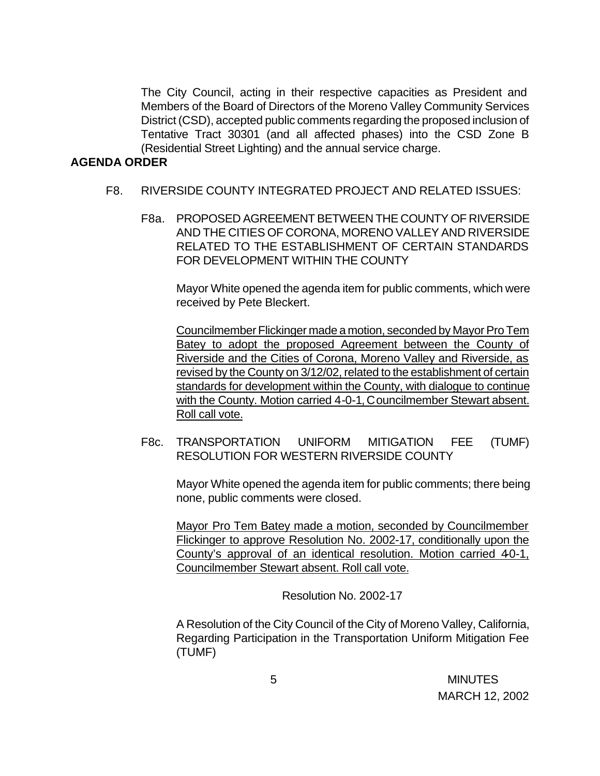The City Council, acting in their respective capacities as President and Members of the Board of Directors of the Moreno Valley Community Services District (CSD), accepted public comments regarding the proposed inclusion of Tentative Tract 30301 (and all affected phases) into the CSD Zone B (Residential Street Lighting) and the annual service charge.

#### **AGENDA ORDER**

- F8. RIVERSIDE COUNTY INTEGRATED PROJECT AND RELATED ISSUES:
	- F8a. PROPOSED AGREEMENT BETWEEN THE COUNTY OF RIVERSIDE AND THE CITIES OF CORONA, MORENO VALLEY AND RIVERSIDE RELATED TO THE ESTABLISHMENT OF CERTAIN STANDARDS FOR DEVELOPMENT WITHIN THE COUNTY

Mayor White opened the agenda item for public comments, which were received by Pete Bleckert.

Councilmember Flickinger made a motion, seconded by Mayor Pro Tem Batey to adopt the proposed Agreement between the County of Riverside and the Cities of Corona, Moreno Valley and Riverside, as revised by the County on 3/12/02, related to the establishment of certain standards for development within the County, with dialogue to continue with the County. Motion carried 4-0-1, Councilmember Stewart absent. Roll call vote.

F8c. TRANSPORTATION UNIFORM MITIGATION FEE (TUMF) RESOLUTION FOR WESTERN RIVERSIDE COUNTY

Mayor White opened the agenda item for public comments; there being none, public comments were closed.

Mayor Pro Tem Batey made a motion, seconded by Councilmember Flickinger to approve Resolution No. 2002-17, conditionally upon the County's approval of an identical resolution. Motion carried 40-1, Councilmember Stewart absent. Roll call vote.

Resolution No. 2002-17

A Resolution of the City Council of the City of Moreno Valley, California, Regarding Participation in the Transportation Uniform Mitigation Fee (TUMF)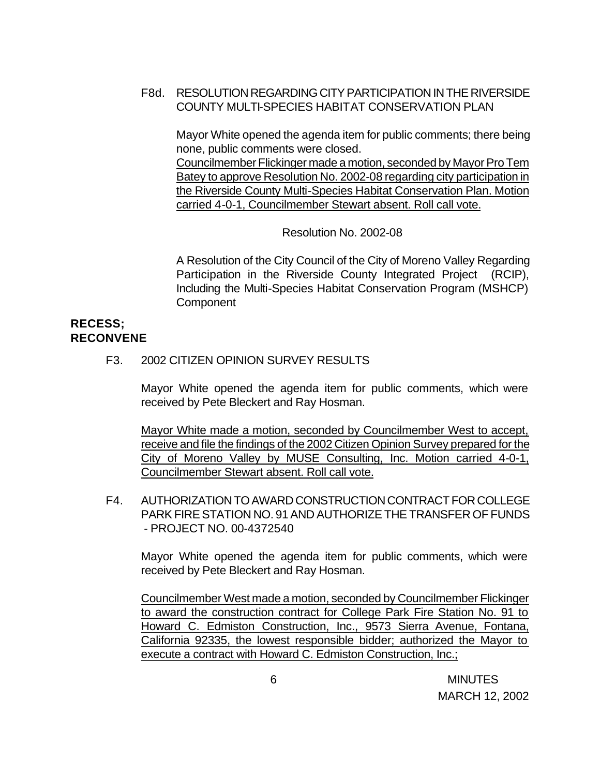## F8d. RESOLUTION REGARDING CITY PARTICIPATION IN THE RIVERSIDE COUNTY MULTI-SPECIES HABITAT CONSERVATION PLAN

Mayor White opened the agenda item for public comments; there being none, public comments were closed.

Councilmember Flickinger made a motion, seconded by Mayor Pro Tem Batey to approve Resolution No. 2002-08 regarding city participation in the Riverside County Multi-Species Habitat Conservation Plan. Motion carried 4-0-1, Councilmember Stewart absent. Roll call vote.

Resolution No. 2002-08

A Resolution of the City Council of the City of Moreno Valley Regarding Participation in the Riverside County Integrated Project (RCIP), Including the Multi-Species Habitat Conservation Program (MSHCP) **Component** 

## **RECESS; RECONVENE**

F3. 2002 CITIZEN OPINION SURVEY RESULTS

Mayor White opened the agenda item for public comments, which were received by Pete Bleckert and Ray Hosman.

Mayor White made a motion, seconded by Councilmember West to accept, receive and file the findings of the 2002 Citizen Opinion Survey prepared for the City of Moreno Valley by MUSE Consulting, Inc. Motion carried 4-0-1, Councilmember Stewart absent. Roll call vote.

F4. AUTHORIZATION TO AWARD CONSTRUCTION CONTRACT FOR COLLEGE PARK FIRE STATION NO. 91 AND AUTHORIZE THE TRANSFER OF FUNDS - PROJECT NO. 00-4372540

Mayor White opened the agenda item for public comments, which were received by Pete Bleckert and Ray Hosman.

Councilmember West made a motion, seconded by Councilmember Flickinger to award the construction contract for College Park Fire Station No. 91 to Howard C. Edmiston Construction, Inc., 9573 Sierra Avenue, Fontana, California 92335, the lowest responsible bidder; authorized the Mayor to execute a contract with Howard C. Edmiston Construction, Inc.;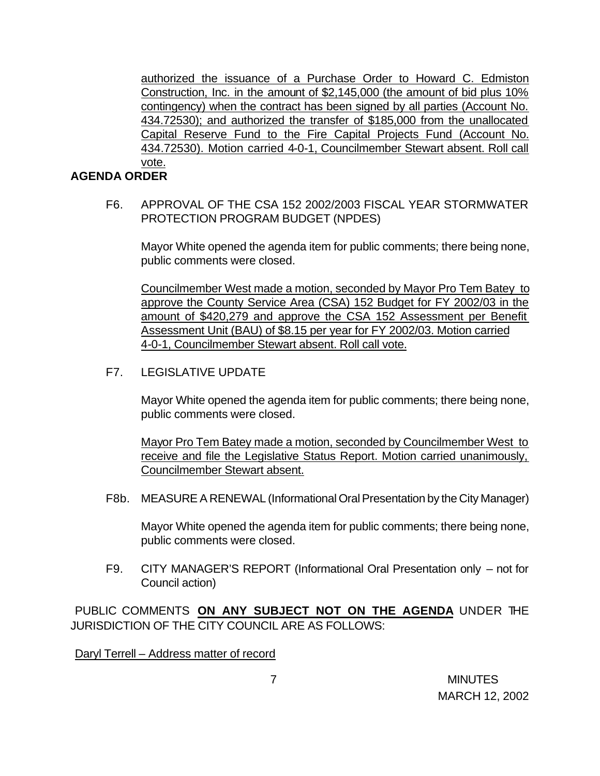authorized the issuance of a Purchase Order to Howard C. Edmiston Construction, Inc. in the amount of \$2,145,000 (the amount of bid plus 10% contingency) when the contract has been signed by all parties (Account No. 434.72530); and authorized the transfer of \$185,000 from the unallocated Capital Reserve Fund to the Fire Capital Projects Fund (Account No. 434.72530). Motion carried 4-0-1, Councilmember Stewart absent. Roll call vote.

### **AGENDA ORDER**

F6. APPROVAL OF THE CSA 152 2002/2003 FISCAL YEAR STORMWATER PROTECTION PROGRAM BUDGET (NPDES)

Mayor White opened the agenda item for public comments; there being none, public comments were closed.

Councilmember West made a motion, seconded by Mayor Pro Tem Batey to approve the County Service Area (CSA) 152 Budget for FY 2002/03 in the amount of \$420,279 and approve the CSA 152 Assessment per Benefit Assessment Unit (BAU) of \$8.15 per year for FY 2002/03. Motion carried 4-0-1, Councilmember Stewart absent. Roll call vote.

F7. LEGISLATIVE UPDATE

Mayor White opened the agenda item for public comments; there being none, public comments were closed.

Mayor Pro Tem Batey made a motion, seconded by Councilmember West to receive and file the Legislative Status Report. Motion carried unanimously, Councilmember Stewart absent.

F8b. MEASURE A RENEWAL (Informational Oral Presentation by the City Manager)

Mayor White opened the agenda item for public comments; there being none, public comments were closed.

F9. CITY MANAGER'S REPORT (Informational Oral Presentation only – not for Council action)

PUBLIC COMMENTS **ON ANY SUBJECT NOT ON THE AGENDA** UNDER THE JURISDICTION OF THE CITY COUNCIL ARE AS FOLLOWS:

Daryl Terrell – Address matter of record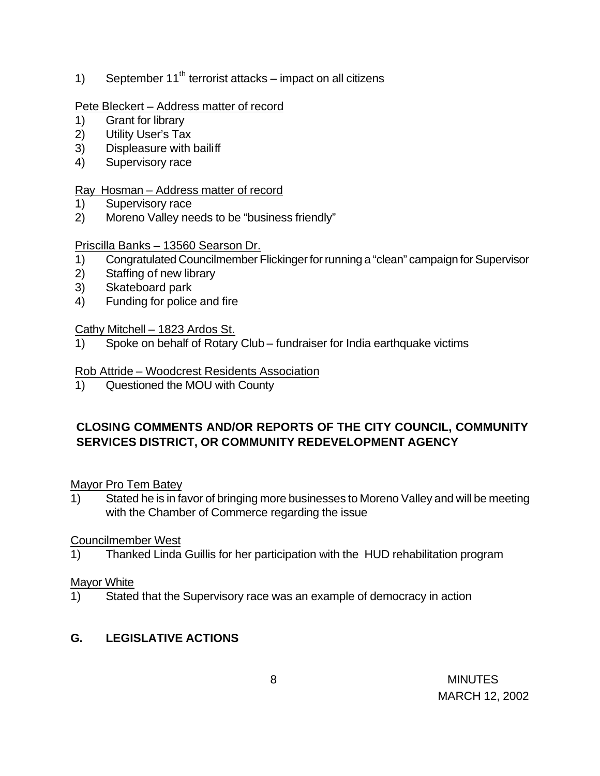1) September  $11<sup>th</sup>$  terrorist attacks – impact on all citizens

## Pete Bleckert – Address matter of record

- 1) Grant for library
- 2) Utility User's Tax
- 3) Displeasure with bailiff
- 4) Supervisory race

## Ray Hosman – Address matter of record

- 1) Supervisory race
- 2) Moreno Valley needs to be "business friendly"

## Priscilla Banks – 13560 Searson Dr.

- 1) Congratulated Councilmember Flickinger for running a "clean" campaign for Supervisor
- 2) Staffing of new library
- 3) Skateboard park
- 4) Funding for police and fire

## Cathy Mitchell – 1823 Ardos St.

1) Spoke on behalf of Rotary Club – fundraiser for India earthquake victims

## Rob Attride – Woodcrest Residents Association

1) Questioned the MOU with County

## **CLOSING COMMENTS AND/OR REPORTS OF THE CITY COUNCIL, COMMUNITY SERVICES DISTRICT, OR COMMUNITY REDEVELOPMENT AGENCY**

## Mayor Pro Tem Batey

1) Stated he is in favor of bringing more businesses to Moreno Valley and will be meeting with the Chamber of Commerce regarding the issue

## Councilmember West

1) Thanked Linda Guillis for her participation with the HUD rehabilitation program

## Mayor White

1) Stated that the Supervisory race was an example of democracy in action

# **G. LEGISLATIVE ACTIONS**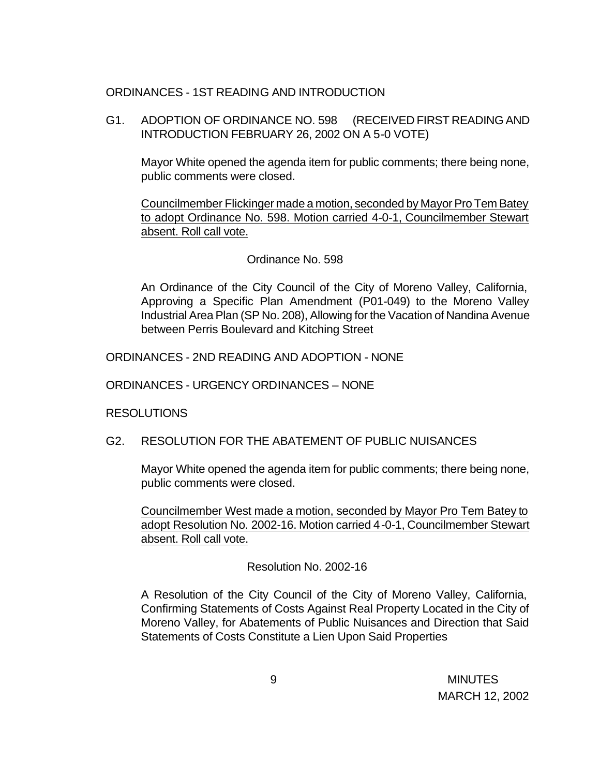### ORDINANCES - 1ST READING AND INTRODUCTION

G1. ADOPTION OF ORDINANCE NO. 598 (RECEIVED FIRST READING AND INTRODUCTION FEBRUARY 26, 2002 ON A 5-0 VOTE)

Mayor White opened the agenda item for public comments; there being none, public comments were closed.

Councilmember Flickinger made a motion, seconded by Mayor Pro Tem Batey to adopt Ordinance No. 598. Motion carried 4-0-1, Councilmember Stewart absent. Roll call vote.

### Ordinance No. 598

An Ordinance of the City Council of the City of Moreno Valley, California, Approving a Specific Plan Amendment (P01-049) to the Moreno Valley Industrial Area Plan (SP No. 208), Allowing for the Vacation of Nandina Avenue between Perris Boulevard and Kitching Street

ORDINANCES - 2ND READING AND ADOPTION - NONE

ORDINANCES - URGENCY ORDINANCES – NONE

#### RESOLUTIONS

## G2. RESOLUTION FOR THE ABATEMENT OF PUBLIC NUISANCES

Mayor White opened the agenda item for public comments; there being none, public comments were closed.

Councilmember West made a motion, seconded by Mayor Pro Tem Batey to adopt Resolution No. 2002-16. Motion carried 4-0-1, Councilmember Stewart absent. Roll call vote.

Resolution No. 2002-16

A Resolution of the City Council of the City of Moreno Valley, California, Confirming Statements of Costs Against Real Property Located in the City of Moreno Valley, for Abatements of Public Nuisances and Direction that Said Statements of Costs Constitute a Lien Upon Said Properties